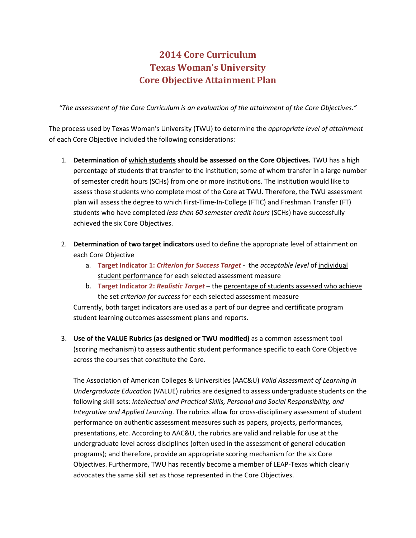## **2014 Core Curriculum Texas Woman's University Core Objective Attainment Plan**

*"The assessment of the Core Curriculum is an evaluation of the attainment of the Core Objectives."*

The process used by Texas Woman's University (TWU) to determine the *appropriate level of attainment* of each Core Objective included the following considerations:

- 1. **Determination of which students should be assessed on the Core Objectives.** TWU has a high percentage of students that transfer to the institution; some of whom transfer in a large number of semester credit hours (SCHs) from one or more institutions. The institution would like to assess those students who complete most of the Core at TWU. Therefore, the TWU assessment plan will assess the degree to which First-Time-In-College (FTIC) and Freshman Transfer (FT) students who have completed *less than 60 semester credit hours* (SCHs) have successfully achieved the six Core Objectives.
- 2. **Determination of two target indicators** used to define the appropriate level of attainment on each Core Objective
	- a. **Target Indicator 1:** *Criterion for Success Target* the *acceptable level* of individual student performance for each selected assessment measure
	- b. **Target Indicator 2:** *Realistic Target* the percentage of students assessed who achieve the set *criterion for success* for each selected assessment measure

Currently, both target indicators are used as a part of our degree and certificate program student learning outcomes assessment plans and reports.

3. **Use of the VALUE Rubrics (as designed or TWU modified)** as a common assessment tool (scoring mechanism) to assess authentic student performance specific to each Core Objective across the courses that constitute the Core.

The Association of American Colleges & Universities (AAC&U) *Valid Assessment of Learning in Undergraduate Education* (VALUE) rubrics are designed to assess undergraduate students on the following skill sets: *Intellectual and Practical Skills, Personal and Social Responsibility, and Integrative and Applied Learning*. The rubrics allow for cross-disciplinary assessment of student performance on authentic assessment measures such as papers, projects, performances, presentations, etc. According to AAC&U, the rubrics are valid and reliable for use at the undergraduate level across disciplines (often used in the assessment of general education programs); and therefore, provide an appropriate scoring mechanism for the six Core Objectives. Furthermore, TWU has recently become a member of LEAP-Texas which clearly advocates the same skill set as those represented in the Core Objectives.